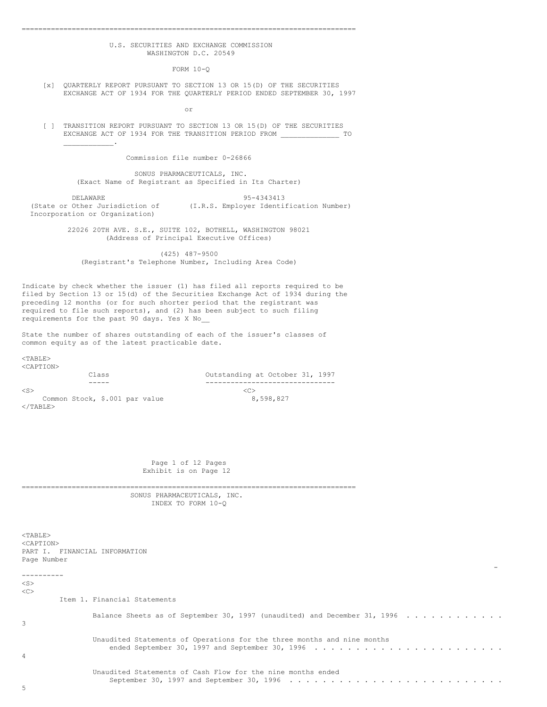## U.S. SECURITIES AND EXCHANGE COMMISSION WASHINGTON D.C. 20549

================================================================================

 $FORM 10-0$ 

[x] QUARTERLY REPORT PURSUANT TO SECTION 13 OR 15(D) OF THE SECURITIES EXCHANGE ACT OF 1934 FOR THE QUARTERLY PERIOD ENDED SEPTEMBER 30, 1997

or

[ ] TRANSITION REPORT PURSUANT TO SECTION 13 OR 15(D) OF THE SECURITIES EXCHANGE ACT OF 1934 FOR THE TRANSITION PERIOD FROM TO TO  $\mathcal{L}_\text{max}$  and  $\mathcal{L}_\text{max}$ 

Commission file number 0-26866

SONUS PHARMACEUTICALS, INC. (Exact Name of Registrant as Specified in Its Charter)

DELAWARE <br>(State or Other Jurisdiction of (I.R.S. Employer Identi (I.R.S. Employer Identification Number) Incorporation or Organization)

> 22026 20TH AVE. S.E., SUITE 102, BOTHELL, WASHINGTON 98021 (Address of Principal Executive Offices)

(425) 487-9500 (Registrant's Telephone Number, Including Area Code)

Indicate by check whether the issuer (1) has filed all reports required to be filed by Section 13 or 15(d) of the Securities Exchange Act of 1934 during the preceding 12 months (or for such shorter period that the registrant was required to file such reports), and (2) has been subject to such filing requirements for the past 90 days. Yes X No\_\_

State the number of shares outstanding of each of the issuer's classes of common equity as of the latest practicable date.

<TABLE>

| <caption></caption>            |                                 |
|--------------------------------|---------------------------------|
| Class                          | Outstanding at October 31, 1997 |
| ----                           |                                 |
| $<$ S $>$                      | <c></c>                         |
| Common Stock, \$.001 par value | 8,598,827                       |
| $\epsilon$ /TARLE $>$          |                                 |

Page 1 of 12 Pages Exhibit is on Page 12

SONUS PHARMACEUTICALS, INC. INDEX TO FORM 10-Q

<TABLE> <CAPTION> PART I. FINANCIAL INFORMATION Page Number - ----------  $\langle$ S>  $<\infty$ Item 1. Financial Statements Balance Sheets as of September 30, 1997 (unaudited) and December 31, 1996 . . . . . . . . . . . . . 3 Unaudited Statements of Operations for the three months and nine months ended September 30, 1997 and September 30, 1996 . . . . . . . . . . . . . . . . . . . . . . . 4 Unaudited Statements of Cash Flow for the nine months ended September 30, 1997 and September 30, 1996 . . . . . . . . . . . . . . . . . . . . . . . . . .

==================================

5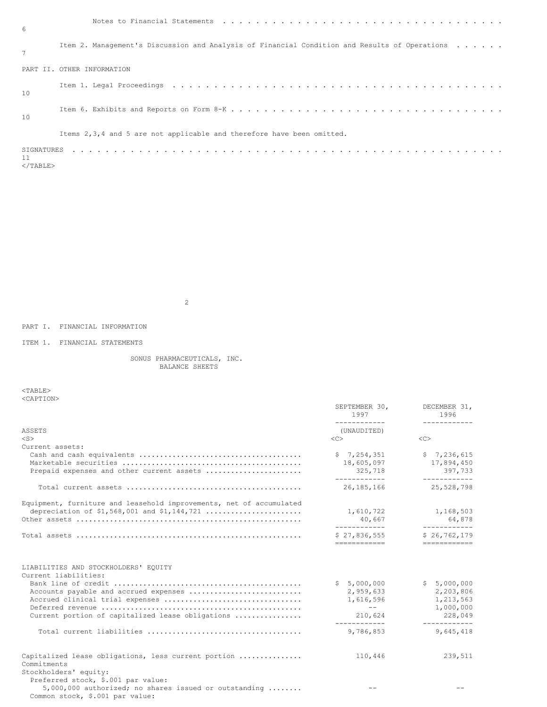| -6                                    |                                                                                               |
|---------------------------------------|-----------------------------------------------------------------------------------------------|
| 7                                     | Item 2. Management's Discussion and Analysis of Financial Condition and Results of Operations |
|                                       | PART II, OTHER INFORMATION                                                                    |
| 10                                    |                                                                                               |
| 10                                    |                                                                                               |
|                                       | Items 2,3,4 and 5 are not applicable and therefore have been omitted.                         |
| SIGNATURES<br>11<br>$\langle$ /TABLE> |                                                                                               |

2

PART I. FINANCIAL INFORMATION

ITEM 1. FINANCIAL STATEMENTS

SONUS PHARMACEUTICALS, INC. BALANCE SHEETS

 $<$ TABLE> <CAPTION>

|                                                                                                                                                           | SEPTEMBER 30,<br>1997                                                        | DECEMBER 31,<br>1996                                                          |
|-----------------------------------------------------------------------------------------------------------------------------------------------------------|------------------------------------------------------------------------------|-------------------------------------------------------------------------------|
| ASSETS<br>$<$ S $>$                                                                                                                                       | -------------<br>(UNAUDITED)<br>$\langle C \rangle$                          | ____________<br>$<<$ $C$ $>$                                                  |
| Current assets:<br>Prepaid expenses and other current assets                                                                                              | \$7,254,351<br>18,605,097<br>325,718<br>____________                         | \$7,236,615<br>17,894,450<br>397,733<br>------------                          |
|                                                                                                                                                           | 26,185,166                                                                   | 25,528,798                                                                    |
| Equipment, furniture and leasehold improvements, net of accumulated                                                                                       | 1,610,722<br>40,667<br>____________                                          | 1,168,503<br>64,878<br>_____________                                          |
|                                                                                                                                                           | \$27.836.555<br>============                                                 | \$26.762.179<br>=============                                                 |
| LIABILITIES AND STOCKHOLDERS' EQUITY<br>Current liabilities:<br>Accounts payable and accrued expenses<br>Current portion of capitalized lease obligations | \$5,000,000<br>2,959,633<br>1,616,596<br>$- - -$<br>210,624<br>------------- | \$5,000,000<br>2,203,806<br>1,213,563<br>1,000,000<br>228,049<br>------------ |
|                                                                                                                                                           | 9,786,853                                                                    | 9,645,418                                                                     |
| Capitalized lease obligations, less current portion<br>Commitments<br>Stockholders' equity:<br>Preferred stock, \$.001 par value:                         | 110,446                                                                      | 239,511                                                                       |
| $5,000,000$ authorized; no shares issued or outstanding<br>Common stock, \$.001 par value:                                                                |                                                                              |                                                                               |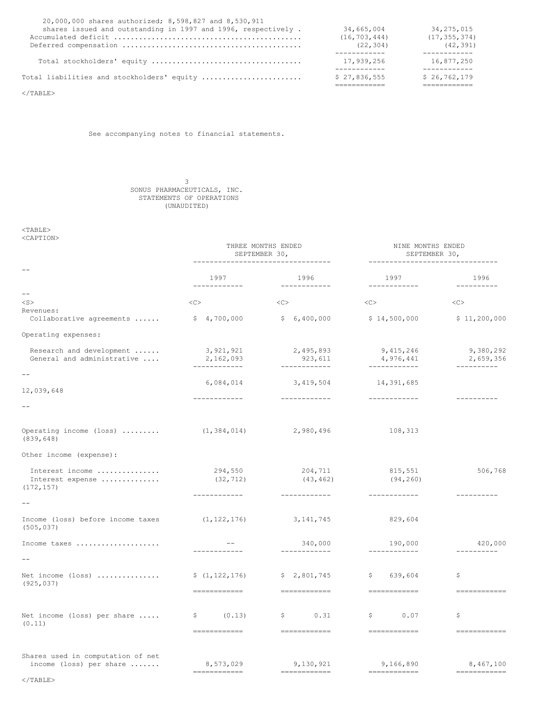| Total liabilities and stockholders' equity                    | \$27,836,555   | \$26, 762, 179 |
|---------------------------------------------------------------|----------------|----------------|
|                                                               |                |                |
|                                                               | 17,939,256     | 16,877,250     |
|                                                               |                | .              |
|                                                               | (22, 304)      | (42, 391)      |
|                                                               | (16, 703, 444) | (17, 355, 374) |
| shares issued and outstanding in 1997 and 1996, respectively. | 34,665,004     | 34, 275, 015   |
| 20,000,000 shares authorized; 8,598,827 and 8,530,911         |                |                |

 $\rm <$  /TABLE>

See accompanying notes to financial statements.

3 SONUS PHARMACEUTICALS, INC. STATEMENTS OF OPERATIONS (UNAUDITED)

 $<$ TABLE $>$ 

| <caption></caption> |  |
|---------------------|--|
|                     |  |

|                                                            | THREE MONTHS ENDED<br>SEPTEMBER 30,     |                                       | NINE MONTHS ENDED<br>SEPTEMBER 30,<br>--------------------------------                                                                                                                                                                                                                                                                                                                                                                                                                               |                                                                                                                                                                                                                                                                                                                                                                                                                                                                                                     |
|------------------------------------------------------------|-----------------------------------------|---------------------------------------|------------------------------------------------------------------------------------------------------------------------------------------------------------------------------------------------------------------------------------------------------------------------------------------------------------------------------------------------------------------------------------------------------------------------------------------------------------------------------------------------------|-----------------------------------------------------------------------------------------------------------------------------------------------------------------------------------------------------------------------------------------------------------------------------------------------------------------------------------------------------------------------------------------------------------------------------------------------------------------------------------------------------|
|                                                            | 1997<br>------------                    | 1996<br>------------                  | 1997<br>------------                                                                                                                                                                                                                                                                                                                                                                                                                                                                                 | 1996<br>$- - - - - - - - - -$                                                                                                                                                                                                                                                                                                                                                                                                                                                                       |
| $-$<br>$<$ S $>$                                           | <<                                      | <<                                    | <<>                                                                                                                                                                                                                                                                                                                                                                                                                                                                                                  | $<\infty$                                                                                                                                                                                                                                                                                                                                                                                                                                                                                           |
| Revenues:<br>Collaborative agreements                      | \$4,700,000                             | \$6,400,000                           | \$14,500,000                                                                                                                                                                                                                                                                                                                                                                                                                                                                                         | \$11,200,000                                                                                                                                                                                                                                                                                                                                                                                                                                                                                        |
| Operating expenses:                                        |                                         |                                       |                                                                                                                                                                                                                                                                                                                                                                                                                                                                                                      |                                                                                                                                                                                                                                                                                                                                                                                                                                                                                                     |
| Research and development<br>General and administrative     | 3,921,921<br>2,162,093<br>------------- | 2,495,893<br>923,611                  | 9, 415, 246<br>4,976,441<br>____________                                                                                                                                                                                                                                                                                                                                                                                                                                                             | 9,380,292<br>2,659,356<br>----------                                                                                                                                                                                                                                                                                                                                                                                                                                                                |
|                                                            | 6,084,014                               | 3,419,504                             | 14,391,685                                                                                                                                                                                                                                                                                                                                                                                                                                                                                           |                                                                                                                                                                                                                                                                                                                                                                                                                                                                                                     |
| 12,039,648                                                 | ------------                            | ____________                          | ____________                                                                                                                                                                                                                                                                                                                                                                                                                                                                                         | -----------                                                                                                                                                                                                                                                                                                                                                                                                                                                                                         |
|                                                            |                                         |                                       |                                                                                                                                                                                                                                                                                                                                                                                                                                                                                                      |                                                                                                                                                                                                                                                                                                                                                                                                                                                                                                     |
| Operating income (loss) $\ldots$ (1,384,014)<br>(839, 648) |                                         | 2,980,496                             | 108,313                                                                                                                                                                                                                                                                                                                                                                                                                                                                                              |                                                                                                                                                                                                                                                                                                                                                                                                                                                                                                     |
| Other income (expense):                                    |                                         |                                       |                                                                                                                                                                                                                                                                                                                                                                                                                                                                                                      |                                                                                                                                                                                                                                                                                                                                                                                                                                                                                                     |
| Interest income<br>Interest expense<br>(172, 157)          | 294,550<br>(32, 712)                    | 204,711<br>(43, 462)                  | 815,551<br>(94, 260)                                                                                                                                                                                                                                                                                                                                                                                                                                                                                 | 506,768                                                                                                                                                                                                                                                                                                                                                                                                                                                                                             |
| $-$                                                        | ------------                            | ------------                          | ------------                                                                                                                                                                                                                                                                                                                                                                                                                                                                                         | ----------                                                                                                                                                                                                                                                                                                                                                                                                                                                                                          |
| Income (loss) before income taxes<br>(505, 037)            | (1, 122, 176)                           | 3, 141, 745                           | 829,604                                                                                                                                                                                                                                                                                                                                                                                                                                                                                              |                                                                                                                                                                                                                                                                                                                                                                                                                                                                                                     |
| Income taxes                                               | $- -$                                   | 340,000<br>____________               | 190,000<br>____________                                                                                                                                                                                                                                                                                                                                                                                                                                                                              | 420,000<br>-----------                                                                                                                                                                                                                                                                                                                                                                                                                                                                              |
| Net income (loss)<br>(925, 037)                            | \$(1, 122, 176)<br>=============        | \$2,801,745                           | \$639,604<br><b>CONSERVATION</b>                                                                                                                                                                                                                                                                                                                                                                                                                                                                     | \$<br>-------------                                                                                                                                                                                                                                                                                                                                                                                                                                                                                 |
| Net income (loss) per share $\ldots$ .<br>(0.11)           | (0.13)<br>S.<br>$=$ ============        | $\mathsf{S}$<br>0.31<br>------------- | \$<br>0.07<br>$\begin{array}{cccccccccc} \multicolumn{2}{c}{} & \multicolumn{2}{c}{} & \multicolumn{2}{c}{} & \multicolumn{2}{c}{} & \multicolumn{2}{c}{} & \multicolumn{2}{c}{} & \multicolumn{2}{c}{} & \multicolumn{2}{c}{} & \multicolumn{2}{c}{} & \multicolumn{2}{c}{} & \multicolumn{2}{c}{} & \multicolumn{2}{c}{} & \multicolumn{2}{c}{} & \multicolumn{2}{c}{} & \multicolumn{2}{c}{} & \multicolumn{2}{c}{} & \multicolumn{2}{c}{} & \multicolumn{2}{c}{} & \multicolumn{2}{c}{} & \mult$ | \$<br>=============                                                                                                                                                                                                                                                                                                                                                                                                                                                                                 |
| Shares used in computation of net                          |                                         |                                       |                                                                                                                                                                                                                                                                                                                                                                                                                                                                                                      |                                                                                                                                                                                                                                                                                                                                                                                                                                                                                                     |
| income (loss) per share                                    | 8,573,029<br>============               | 9,130,921<br>============             | 9,166,890<br>$\begin{array}{cccccccccc} \multicolumn{2}{c}{} & \multicolumn{2}{c}{} & \multicolumn{2}{c}{} & \multicolumn{2}{c}{} & \multicolumn{2}{c}{} & \multicolumn{2}{c}{} & \multicolumn{2}{c}{} & \multicolumn{2}{c}{} & \multicolumn{2}{c}{} & \multicolumn{2}{c}{} & \multicolumn{2}{c}{} & \multicolumn{2}{c}{} & \multicolumn{2}{c}{} & \multicolumn{2}{c}{} & \multicolumn{2}{c}{} & \multicolumn{2}{c}{} & \multicolumn{2}{c}{} & \multicolumn{2}{c}{} & \multicolumn{2}{c}{} & \mult$  | 8,467,100<br>$\begin{array}{cccccccccc} \multicolumn{2}{c}{} & \multicolumn{2}{c}{} & \multicolumn{2}{c}{} & \multicolumn{2}{c}{} & \multicolumn{2}{c}{} & \multicolumn{2}{c}{} & \multicolumn{2}{c}{} & \multicolumn{2}{c}{} & \multicolumn{2}{c}{} & \multicolumn{2}{c}{} & \multicolumn{2}{c}{} & \multicolumn{2}{c}{} & \multicolumn{2}{c}{} & \multicolumn{2}{c}{} & \multicolumn{2}{c}{} & \multicolumn{2}{c}{} & \multicolumn{2}{c}{} & \multicolumn{2}{c}{} & \multicolumn{2}{c}{} & \mult$ |

 $\rm <$  /TABLE>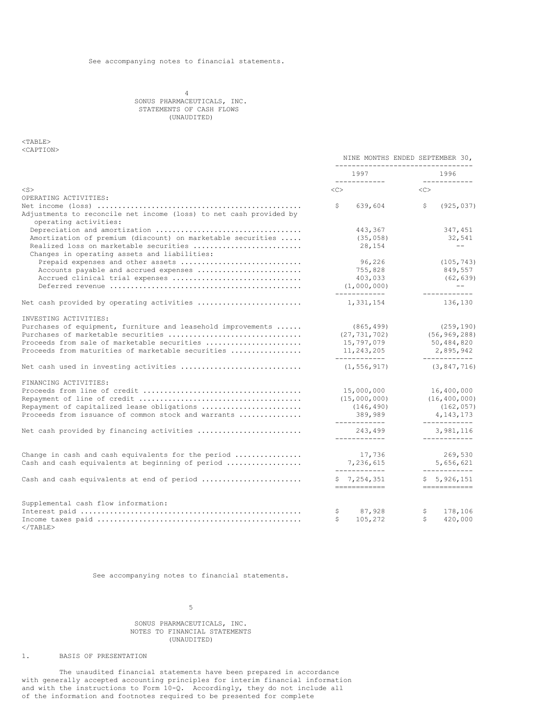4 SONUS PHARMACEUTICALS, INC. STATEMENTS OF CASH FLOWS (UNAUDITED)

# <TABLE> <CAPTION>

|                                                                                             | NINE MONTHS ENDED SEPTEMBER 30,<br>----------------------------- |                                   |
|---------------------------------------------------------------------------------------------|------------------------------------------------------------------|-----------------------------------|
|                                                                                             | 1997<br>____________                                             | 1996<br>____________              |
| $<$ S $>$                                                                                   | $<<$ $C>$                                                        | <<                                |
| OPERATING ACTIVITIES:                                                                       |                                                                  |                                   |
| Adjustments to reconcile net income (loss) to net cash provided by<br>operating activities: | \$<br>639,604                                                    | \$<br>(925, 037)                  |
|                                                                                             | 443,367                                                          | 347,451                           |
| Amortization of premium (discount) on marketable securities                                 | (35, 058)                                                        | 32,541                            |
| Realized loss on marketable securities<br>Changes in operating assets and liabilities:      | 28,154                                                           | $\qquad \qquad -$                 |
| Prepaid expenses and other assets                                                           | 96,226                                                           | (105, 743)                        |
| Accounts payable and accrued expenses                                                       | 755,828                                                          | 849,557                           |
| Accrued clinical trial expenses                                                             | 403,033                                                          | (62, 639)                         |
|                                                                                             | (1,000,000)<br>------------                                      | $\qquad \qquad -$<br>____________ |
| Net cash provided by operating activities                                                   | 1,331,154                                                        | 136,130                           |
| INVESTING ACTIVITIES:                                                                       |                                                                  |                                   |
| Purchases of equipment, furniture and leasehold improvements                                | (865, 499)                                                       | (259, 190)                        |
| Purchases of marketable securities                                                          | (27, 731, 702)                                                   | (56, 969, 288)                    |
| Proceeds from sale of marketable securities                                                 | 15,797,079                                                       | 50,484,820                        |
| Proceeds from maturities of marketable securities                                           | 11,243,205<br>____________                                       | 2,895,942<br>------------         |
| Net cash used in investing activities                                                       | (1, 556, 917)                                                    | (3, 847, 716)                     |
| FINANCING ACTIVITIES:                                                                       |                                                                  |                                   |
|                                                                                             | 15,000,000                                                       | 16,400,000                        |
|                                                                                             | (15,000,000)                                                     | (16, 400, 000)                    |
| Repayment of capitalized lease obligations                                                  | (146, 490)                                                       | (162, 057)                        |
| Proceeds from issuance of common stock and warrants                                         | 389,989<br>____________                                          | 4, 143, 173<br>____________       |
| Net cash provided by financing activities                                                   | 243,499<br>____________                                          | 3,981,116                         |
| Change in cash and cash equivalents for the period                                          | 17,736                                                           | 269,530                           |
| Cash and cash equivalents at beginning of period                                            | 7,236,615                                                        | 5,656,621                         |
|                                                                                             | ------------                                                     | ------------                      |
| Cash and cash equivalents at end of period                                                  | \$7,254,351<br>============                                      | \$5,926,151<br>============       |
| Supplemental cash flow information:                                                         |                                                                  |                                   |
|                                                                                             | 87,928<br>\$                                                     | \$<br>178,106                     |
| $<$ /TABLE>                                                                                 | Ŝ.<br>105,272                                                    | Ŝ.<br>420,000                     |

See accompanying notes to financial statements.

5

# SONUS PHARMACEUTICALS, INC. NOTES TO FINANCIAL STATEMENTS (UNAUDITED)

1. BASIS OF PRESENTATION

The unaudited financial statements have been prepared in accordance with generally accepted accounting principles for interim financial information and with the instructions to Form 10-Q. Accordingly, they do not include all of the information and footnotes required to be presented for complete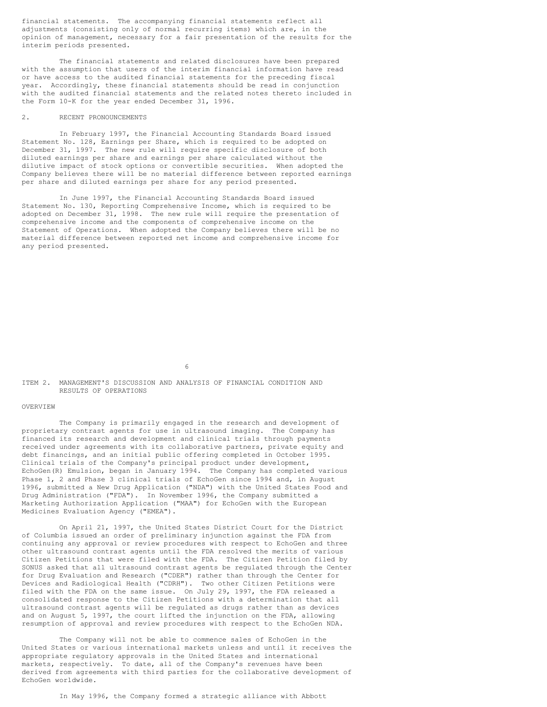financial statements. The accompanying financial statements reflect all adjustments (consisting only of normal recurring items) which are, in the opinion of management, necessary for a fair presentation of the results for the interim periods presented.

The financial statements and related disclosures have been prepared with the assumption that users of the interim financial information have read or have access to the audited financial statements for the preceding fiscal year. Accordingly, these financial statements should be read in conjunction with the audited financial statements and the related notes thereto included in the Form 10-K for the year ended December 31, 1996.

## 2. RECENT PRONOUNCEMENTS

In February 1997, the Financial Accounting Standards Board issued Statement No. 128, Earnings per Share, which is required to be adopted on December 31, 1997. The new rule will require specific disclosure of both diluted earnings per share and earnings per share calculated without the dilutive impact of stock options or convertible securities. When adopted the Company believes there will be no material difference between reported earnings per share and diluted earnings per share for any period presented.

In June 1997, the Financial Accounting Standards Board issued Statement No. 130, Reporting Comprehensive Income, which is required to be adopted on December 31, 1998. The new rule will require the presentation of comprehensive income and the components of comprehensive income on the Statement of Operations. When adopted the Company believes there will be no material difference between reported net income and comprehensive income for any period presented.

6

## ITEM 2. MANAGEMENT'S DISCUSSION AND ANALYSIS OF FINANCIAL CONDITION AND RESULTS OF OPERATIONS

#### OVERVIEW

The Company is primarily engaged in the research and development of proprietary contrast agents for use in ultrasound imaging. The Company has financed its research and development and clinical trials through payments received under agreements with its collaborative partners, private equity and debt financings, and an initial public offering completed in October 1995. Clinical trials of the Company's principal product under development, EchoGen(R) Emulsion, began in January 1994. The Company has completed various Phase 1, 2 and Phase 3 clinical trials of EchoGen since 1994 and, in August 1996, submitted a New Drug Application ("NDA") with the United States Food and Drug Administration ("FDA"). In November 1996, the Company submitted a Marketing Authorization Application ("MAA") for EchoGen with the European Medicines Evaluation Agency ("EMEA").

On April 21, 1997, the United States District Court for the District of Columbia issued an order of preliminary injunction against the FDA from continuing any approval or review procedures with respect to EchoGen and three other ultrasound contrast agents until the FDA resolved the merits of various Citizen Petitions that were filed with the FDA. The Citizen Petition filed by SONUS asked that all ultrasound contrast agents be regulated through the Center for Drug Evaluation and Research ("CDER") rather than through the Center for Devices and Radiological Health ("CDRH"). Two other Citizen Petitions were filed with the FDA on the same issue. On July 29, 1997, the FDA released a consolidated response to the Citizen Petitions with a determination that all ultrasound contrast agents will be regulated as drugs rather than as devices and on August 5, 1997, the court lifted the injunction on the FDA, allowing resumption of approval and review procedures with respect to the EchoGen NDA.

The Company will not be able to commence sales of EchoGen in the United States or various international markets unless and until it receives the appropriate regulatory approvals in the United States and international markets, respectively. To date, all of the Company's revenues have been derived from agreements with third parties for the collaborative development of EchoGen worldwide.

In May 1996, the Company formed a strategic alliance with Abbott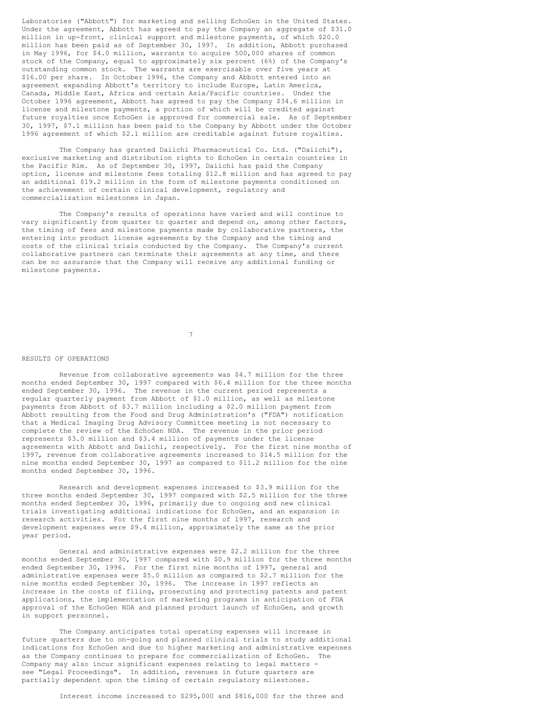Laboratories ("Abbott") for marketing and selling EchoGen in the United States. Under the agreement, Abbott has agreed to pay the Company an aggregate of \$31.0 million in up-front, clinical support and milestone payments, of which \$20.0 million has been paid as of September 30, 1997. In addition, Abbott purchased in May 1996, for \$4.0 million, warrants to acquire 500,000 shares of common stock of the Company, equal to approximately six percent (6%) of the Company's outstanding common stock. The warrants are exercisable over five years at \$16.00 per share. In October 1996, the Company and Abbott entered into an agreement expanding Abbott's territory to include Europe, Latin America, Canada, Middle East, Africa and certain Asia/Pacific countries. Under the October 1996 agreement, Abbott has agreed to pay the Company \$34.6 million in license and milestone payments, a portion of which will be credited against future royalties once EchoGen is approved for commercial sale. As of September 30, 1997, \$7.1 million has been paid to the Company by Abbott under the October 1996 agreement of which \$2.1 million are creditable against future royalties.

The Company has granted Daiichi Pharmaceutical Co. Ltd. ("Daiichi"), exclusive marketing and distribution rights to EchoGen in certain countries in the Pacific Rim. As of September 30, 1997, Daiichi has paid the Company option, license and milestone fees totaling \$12.8 million and has agreed to pay an additional \$19.2 million in the form of milestone payments conditioned on the achievement of certain clinical development, regulatory and commercialization milestones in Japan.

The Company's results of operations have varied and will continue to vary significantly from quarter to quarter and depend on, among other factors, the timing of fees and milestone payments made by collaborative partners, the entering into product license agreements by the Company and the timing and costs of the clinical trials conducted by the Company. The Company's current collaborative partners can terminate their agreements at any time, and there can be no assurance that the Company will receive any additional funding or milestone payments.

7

#### RESULTS OF OPERATIONS

Revenue from collaborative agreements was \$4.7 million for the three months ended September 30, 1997 compared with \$6.4 million for the three months ended September 30, 1996. The revenue in the current period represents a regular quarterly payment from Abbott of \$1.0 million, as well as milestone payments from Abbott of \$3.7 million including a \$2.0 million payment from Abbott resulting from the Food and Drug Administration's ("FDA") notification that a Medical Imaging Drug Advisory Committee meeting is not necessary to complete the review of the EchoGen NDA. The revenue in the prior period represents \$3.0 million and \$3.4 million of payments under the license agreements with Abbott and Daiichi, respectively. For the first nine months of 1997, revenue from collaborative agreements increased to \$14.5 million for the nine months ended September 30, 1997 as compared to \$11.2 million for the nine months ended September 30, 1996.

Research and development expenses increased to \$3.9 million for the three months ended September 30, 1997 compared with \$2.5 million for the three months ended September 30, 1996, primarily due to ongoing and new clinical trials investigating additional indications for EchoGen, and an expansion in research activities. For the first nine months of 1997, research and development expenses were \$9.4 million, approximately the same as the prior year period.

General and administrative expenses were \$2.2 million for the three months ended September 30, 1997 compared with \$0.9 million for the three months ended September 30, 1996. For the first nine months of 1997, general and administrative expenses were \$5.0 million as compared to \$2.7 million for the nine months ended September 30, 1996. The increase in 1997 reflects an increase in the costs of filing, prosecuting and protecting patents and patent applications, the implementation of marketing programs in anticipation of FDA approval of the EchoGen NDA and planned product launch of EchoGen, and growth in support personnel.

The Company anticipates total operating expenses will increase in future quarters due to on-going and planned clinical trials to study additional indications for EchoGen and due to higher marketing and administrative expenses as the Company continues to prepare for commercialization of EchoGen. The Company may also incur significant expenses relating to legal matters see "Legal Proceedings". In addition, revenues in future quarters are partially dependent upon the timing of certain regulatory milestones.

Interest income increased to \$295,000 and \$816,000 for the three and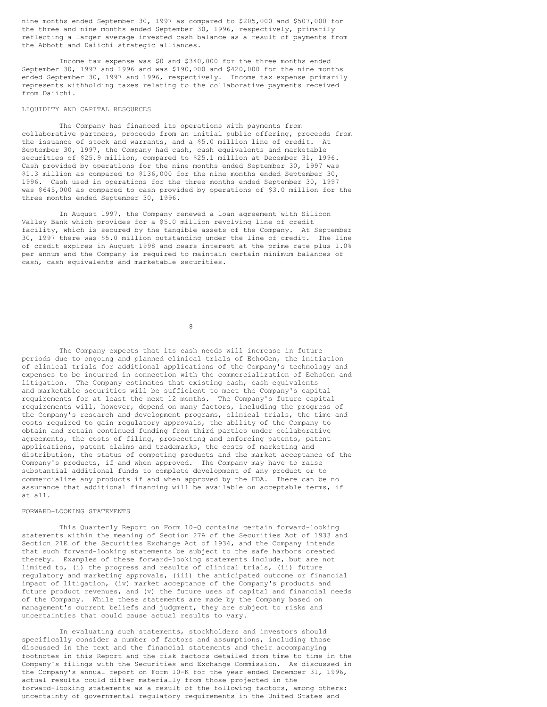nine months ended September 30, 1997 as compared to \$205,000 and \$507,000 for the three and nine months ended September 30, 1996, respectively, primarily reflecting a larger average invested cash balance as a result of payments from the Abbott and Daiichi strategic alliances.

Income tax expense was \$0 and \$340,000 for the three months ended September 30, 1997 and 1996 and was \$190,000 and \$420,000 for the nine months ended September 30, 1997 and 1996, respectively. Income tax expense primarily represents withholding taxes relating to the collaborative payments received from Daiichi.

#### LIQUIDITY AND CAPITAL RESOURCES

The Company has financed its operations with payments from collaborative partners, proceeds from an initial public offering, proceeds from the issuance of stock and warrants, and a \$5.0 million line of credit. At September 30, 1997, the Company had cash, cash equivalents and marketable securities of \$25.9 million, compared to \$25.1 million at December 31, 1996. Cash provided by operations for the nine months ended September 30, 1997 was \$1.3 million as compared to \$136,000 for the nine months ended September 30, 1996. Cash used in operations for the three months ended September 30, 1997 was \$645,000 as compared to cash provided by operations of \$3.0 million for the three months ended September 30, 1996.

In August 1997, the Company renewed a loan agreement with Silicon Valley Bank which provides for a \$5.0 million revolving line of credit facility, which is secured by the tangible assets of the Company. At September 30, 1997 there was \$5.0 million outstanding under the line of credit. The line of credit expires in August 1998 and bears interest at the prime rate plus 1.0% per annum and the Company is required to maintain certain minimum balances of cash, cash equivalents and marketable securities.

8

The Company expects that its cash needs will increase in future periods due to ongoing and planned clinical trials of EchoGen, the initiation of clinical trials for additional applications of the Company's technology and expenses to be incurred in connection with the commercialization of EchoGen and litigation. The Company estimates that existing cash, cash equivalents and marketable securities will be sufficient to meet the Company's capital requirements for at least the next 12 months. The Company's future capital requirements will, however, depend on many factors, including the progress of the Company's research and development programs, clinical trials, the time and costs required to gain regulatory approvals, the ability of the Company to obtain and retain continued funding from third parties under collaborative agreements, the costs of filing, prosecuting and enforcing patents, patent applications, patent claims and trademarks, the costs of marketing and distribution, the status of competing products and the market acceptance of the Company's products, if and when approved. The Company may have to raise substantial additional funds to complete development of any product or to commercialize any products if and when approved by the FDA. There can be no assurance that additional financing will be available on acceptable terms, if at all.

### FORWARD-LOOKING STATEMENTS

This Quarterly Report on Form 10-Q contains certain forward-looking statements within the meaning of Section 27A of the Securities Act of 1933 and Section 21E of the Securities Exchange Act of 1934, and the Company intends that such forward-looking statements be subject to the safe harbors created thereby. Examples of these forward-looking statements include, but are not limited to, (i) the progress and results of clinical trials, (ii) future regulatory and marketing approvals, (iii) the anticipated outcome or financial impact of litigation, (iv) market acceptance of the Company's products and future product revenues, and (v) the future uses of capital and financial needs of the Company. While these statements are made by the Company based on management's current beliefs and judgment, they are subject to risks and uncertainties that could cause actual results to vary.

In evaluating such statements, stockholders and investors should specifically consider a number of factors and assumptions, including those discussed in the text and the financial statements and their accompanying footnotes in this Report and the risk factors detailed from time to time in the Company's filings with the Securities and Exchange Commission. As discussed in the Company's annual report on Form 10-K for the year ended December 31, 1996, actual results could differ materially from those projected in the forward-looking statements as a result of the following factors, among others: uncertainty of governmental regulatory requirements in the United States and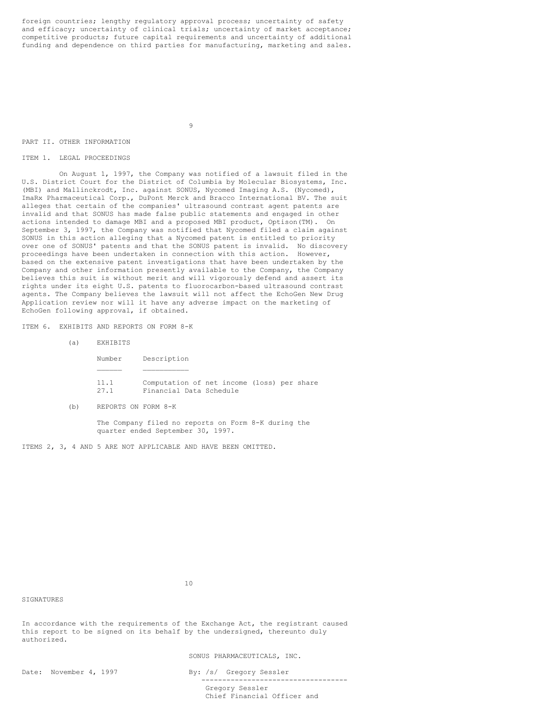foreign countries; lengthy regulatory approval process; uncertainty of safety and efficacy; uncertainty of clinical trials; uncertainty of market acceptance; competitive products; future capital requirements and uncertainty of additional funding and dependence on third parties for manufacturing, marketing and sales.

9

#### PART II. OTHER INFORMATION

## ITEM 1. LEGAL PROCEEDINGS

On August 1, 1997, the Company was notified of a lawsuit filed in the U.S. District Court for the District of Columbia by Molecular Biosystems, Inc. (MBI) and Mallinckrodt, Inc. against SONUS, Nycomed Imaging A.S. (Nycomed), ImaRx Pharmaceutical Corp., DuPont Merck and Bracco International BV. The suit alleges that certain of the companies' ultrasound contrast agent patents are invalid and that SONUS has made false public statements and engaged in other actions intended to damage MBI and a proposed MBI product, Optison(TM). On September 3, 1997, the Company was notified that Nycomed filed a claim against SONUS in this action alleging that a Nycomed patent is entitled to priority over one of SONUS' patents and that the SONUS patent is invalid. No discovery proceedings have been undertaken in connection with this action. However, based on the extensive patent investigations that have been undertaken by the Company and other information presently available to the Company, the Company believes this suit is without merit and will vigorously defend and assert its rights under its eight U.S. patents to fluorocarbon-based ultrasound contrast agents. The Company believes the lawsuit will not affect the EchoGen New Drug Application review nor will it have any adverse impact on the marketing of EchoGen following approval, if obtained.

ITEM 6. EXHIBITS AND REPORTS ON FORM 8-K

| Number       | Description                                                           |
|--------------|-----------------------------------------------------------------------|
|              |                                                                       |
| 11.1<br>27.1 | Computation of net income (loss) per share<br>Financial Data Schedule |

(b) REPORTS ON FORM 8-K

The Company filed no reports on Form 8-K during the quarter ended September 30, 1997.

ITEMS 2, 3, 4 AND 5 ARE NOT APPLICABLE AND HAVE BEEN OMITTED.

**SIGNATURES** 

In accordance with the requirements of the Exchange Act, the registrant caused this report to be signed on its behalf by the undersigned, thereunto duly authorized.

SONUS PHARMACEUTICALS, INC.

Date: November 4, 1997 By: /s/ Gregory Sessler ----------------------------------- Gregory Sessler Chief Financial Officer and

 $10$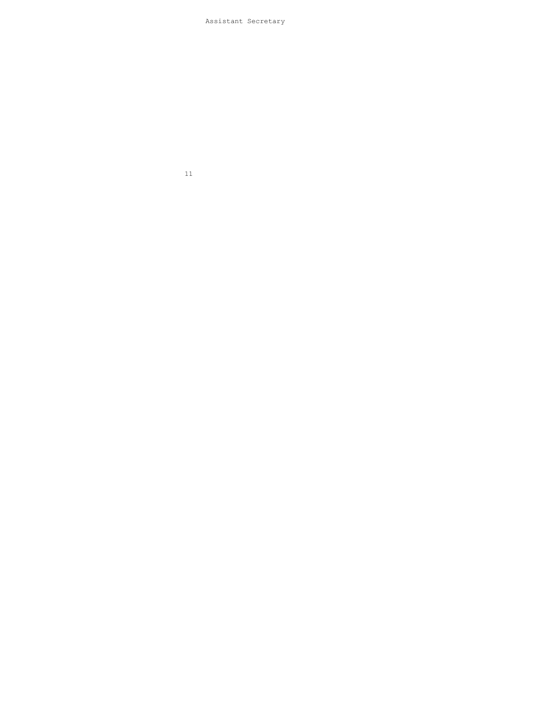# Assistant Secretary

11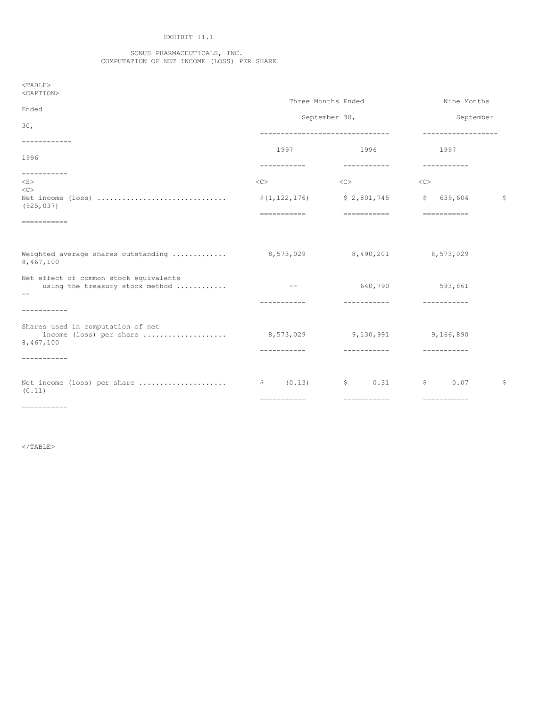# EXHIBIT 11.1

#### SONUS PHARMACEUTICALS, INC. COMPUTATION OF NET INCOME (LOSS) PER SHARE

<TABLE> <CAPTION>

|                                                                                             |                             | Three Months Ended<br>September 30,  |                                                                                                                                                                                                                                                                                                                                                                                                                                                                                            | Nine Months<br>September |  |
|---------------------------------------------------------------------------------------------|-----------------------------|--------------------------------------|--------------------------------------------------------------------------------------------------------------------------------------------------------------------------------------------------------------------------------------------------------------------------------------------------------------------------------------------------------------------------------------------------------------------------------------------------------------------------------------------|--------------------------|--|
| Ended<br>30 <sub>1</sub>                                                                    |                             |                                      |                                                                                                                                                                                                                                                                                                                                                                                                                                                                                            |                          |  |
| -----------                                                                                 |                             | --------------------------------     | ------------------                                                                                                                                                                                                                                                                                                                                                                                                                                                                         |                          |  |
| 1996<br>-----------                                                                         | 1997<br>-----------         | 1996<br>-----------                  | 1997<br>-----------                                                                                                                                                                                                                                                                                                                                                                                                                                                                        |                          |  |
| $<$ S $>$<br><<                                                                             | $<\infty$                   | $<\infty$                            | $<$ C>                                                                                                                                                                                                                                                                                                                                                                                                                                                                                     |                          |  |
| (925, 037)                                                                                  | \$(1, 122, 176)             | \$2,801,745                          | 639,604<br>$\mathsf{S}$                                                                                                                                                                                                                                                                                                                                                                                                                                                                    | - \$                     |  |
| $\begin{array}{cccccccccccccc} = & = & = & = & = & = & = & = & = & = & = & = & \end{array}$ | ===========                 | ===========                          | $\begin{minipage}{0.9\linewidth} \begin{tabular}{l} \multicolumn{2}{l}{} & \multicolumn{2}{l}{} & \multicolumn{2}{l}{} \\ \multicolumn{2}{l}{} & \multicolumn{2}{l}{} & \multicolumn{2}{l}{} \\ \multicolumn{2}{l}{} & \multicolumn{2}{l}{} & \multicolumn{2}{l}{} \\ \multicolumn{2}{l}{} & \multicolumn{2}{l}{} & \multicolumn{2}{l}{} \\ \multicolumn{2}{l}{} & \multicolumn{2}{l}{} & \multicolumn{2}{l}{} \\ \multicolumn{2}{l}{} & \multicolumn{2}{l}{} & \multicolumn{2}{l}{} \\ \$ |                          |  |
| Weighted average shares outstanding<br>8,467,100                                            | 8,573,029                   | 8,490,201                            | 8,573,029                                                                                                                                                                                                                                                                                                                                                                                                                                                                                  |                          |  |
| Net effect of common stock equivalents<br>using the treasury stock method<br>$- -$          |                             | 640,790                              | 593,861                                                                                                                                                                                                                                                                                                                                                                                                                                                                                    |                          |  |
| -----------                                                                                 |                             |                                      |                                                                                                                                                                                                                                                                                                                                                                                                                                                                                            |                          |  |
| Shares used in computation of net<br>income (loss) per share<br>8,467,100                   | 8,573,029                   | 9,130,991                            | 9,166,890                                                                                                                                                                                                                                                                                                                                                                                                                                                                                  |                          |  |
| -----------                                                                                 | -----------                 | -----------                          | -----------                                                                                                                                                                                                                                                                                                                                                                                                                                                                                |                          |  |
| Net income (loss) per share<br>(0.11)                                                       | (0.13)<br>\$<br>=========== | 0.31<br>$\mathsf{S}$<br>------------ | \$<br>0.07<br>-----------                                                                                                                                                                                                                                                                                                                                                                                                                                                                  | \$                       |  |
| ===========                                                                                 |                             |                                      |                                                                                                                                                                                                                                                                                                                                                                                                                                                                                            |                          |  |

 $\rm <$  /TABLE>